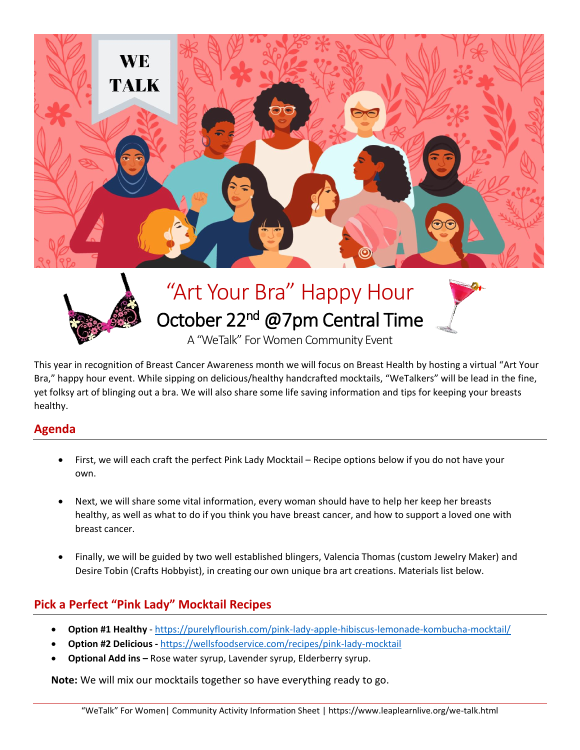



# "Art Your Bra" Happy Hour October 22<sup>nd</sup> @7pm Central Time



A "WeTalk" For Women Community Event

This year in recognition of Breast Cancer Awareness month we will focus on Breast Health by hosting a virtual "Art Your Bra," happy hour event. While sipping on delicious/healthy handcrafted mocktails, "WeTalkers" will be lead in the fine, yet folksy art of blinging out a bra. We will also share some life saving information and tips for keeping your breasts healthy.

## **Agenda**

- First, we will each craft the perfect Pink Lady Mocktail Recipe options below if you do not have your own.
- Next, we will share some vital information, every woman should have to help her keep her breasts healthy, as well as what to do if you think you have breast cancer, and how to support a loved one with breast cancer.
- Finally, we will be guided by two well established blingers, Valencia Thomas (custom Jewelry Maker) and Desire Tobin (Crafts Hobbyist), in creating our own unique bra art creations. Materials list below.

## **Pick a Perfect "Pink Lady" Mocktail Recipes**

- **Option #1 Healthy** <https://purelyflourish.com/pink-lady-apple-hibiscus-lemonade-kombucha-mocktail/>
- **Option #2 Delicious -** <https://wellsfoodservice.com/recipes/pink-lady-mocktail>
- **Optional Add ins –** Rose water syrup, Lavender syrup, Elderberry syrup.

**Note:** We will mix our mocktails together so have everything ready to go.